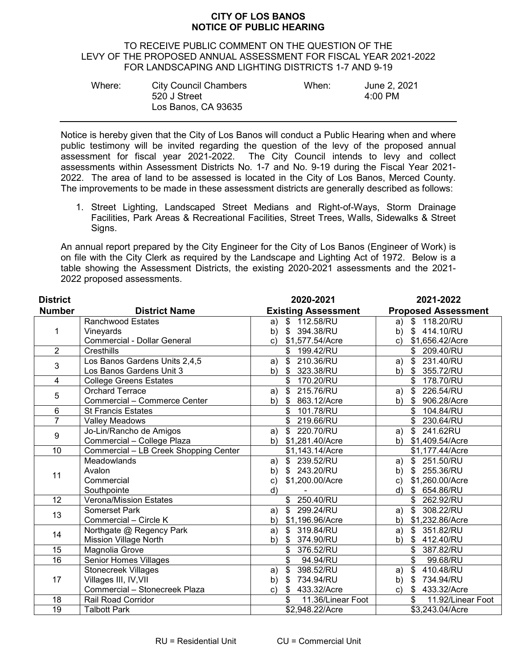## **CITY OF LOS BANOS NOTICE OF PUBLIC HEARING**

## TO RECEIVE PUBLIC COMMENT ON THE QUESTION OF THE LEVY OF THE PROPOSED ANNUAL ASSESSMENT FOR FISCAL YEAR 2021-2022 FOR LANDSCAPING AND LIGHTING DISTRICTS 1-7 AND 9-19

| Where: | <b>City Council Chambers</b><br>520 J Street | When: | June 2, 2021<br>$4:00 \text{ PM}$ |
|--------|----------------------------------------------|-------|-----------------------------------|
|        | Los Banos, CA 93635                          |       |                                   |

Notice is hereby given that the City of Los Banos will conduct a Public Hearing when and where public testimony will be invited regarding the question of the levy of the proposed annual assessment for fiscal year 2021-2022. The City Council intends to levy and collect assessments within Assessment Districts No. 1-7 and No. 9-19 during the Fiscal Year 2021- 2022. The area of land to be assessed is located in the City of Los Banos, Merced County. The improvements to be made in these assessment districts are generally described as follows:

1. Street Lighting, Landscaped Street Medians and Right-of-Ways, Storm Drainage Facilities, Park Areas & Recreational Facilities, Street Trees, Walls, Sidewalks & Street Signs.

An annual report prepared by the City Engineer for the City of Los Banos (Engineer of Work) is on file with the City Clerk as required by the Landscape and Lighting Act of 1972. Below is a table showing the Assessment Districts, the existing 2020-2021 assessments and the 2021- 2022 proposed assessments.

| <b>District</b>         |                                       | 2020-2021                                    | 2021-2022                         |
|-------------------------|---------------------------------------|----------------------------------------------|-----------------------------------|
| <b>Number</b>           | <b>District Name</b>                  | <b>Existing Assessment</b>                   | <b>Proposed Assessment</b>        |
| 1                       | <b>Ranchwood Estates</b>              | \$112.58/RU<br>a)                            | \$118,20/RU<br>a)                 |
|                         | Vineyards                             | \$ 394.38/RU<br>b)                           | \$414.10/RU<br>b)                 |
|                         | Commercial - Dollar General           | \$1,577.54/Acre<br>C)                        | \$1,656.42/Acre<br>$\mathsf{c})$  |
| $\overline{2}$          | Cresthills                            | \$<br>199.42/RU                              | \$ 209.40/RU                      |
| 3                       | Los Banos Gardens Units 2,4,5         | \$ 210.36/RU<br>a)                           | $\mathfrak{S}$<br>231.40/RU<br>a) |
|                         | Los Banos Gardens Unit 3              | $\boldsymbol{\mathsf{s}}$<br>323.38/RU<br>b) | \$<br>355.72/RU<br>b)             |
| $\overline{\mathbf{4}}$ | <b>College Greens Estates</b>         | 170.20/RU<br>\$                              | 178.70/RU<br>\$                   |
| 5                       | <b>Orchard Terrace</b>                | 215.76/RU<br>$\mathfrak{S}$<br>a)            | 226.54/RU<br>$\mathfrak{S}$<br>a) |
|                         | Commercial - Commerce Center          | $\mathfrak{S}$<br>863.12/Acre<br>b)          | 906.28/Acre<br>- \$<br>b)         |
| 6                       | <b>St Francis Estates</b>             | 101.78/RU<br>\$                              | 104.84/RU                         |
| $\overline{7}$          | <b>Valley Meadows</b>                 | \$<br>219.66/RU                              | 230.64/RU<br>\$                   |
| $\boldsymbol{9}$        | Jo-Lin/Rancho de Amigos               | \$ 220.70/RU<br>a)                           | $\mathbb{S}$<br>241.62RU<br>a)    |
|                         | Commercial - College Plaza            | \$1,281.40/Acre<br>b)                        | \$1,409.54/Acre<br>b)             |
| 10                      | Commercial - LB Creek Shopping Center | \$1,143.14/Acre                              | \$1,177.44/Acre                   |
| 11                      | Meadowlands                           | \$239.52/RU<br>a)                            | $\mathbb{S}$<br>251.50/RU<br>a)   |
|                         | Avalon                                | \$ 243.20/RU<br>b)                           | 255.36/RU<br>b)<br>\$             |
|                         | Commercial                            | \$1,200.00/Acre<br>$\mathbf{C}$              | \$1,260.00/Acre<br>$\mathsf{c})$  |
|                         | Southpointe                           | d)                                           | d)<br>\$ 654.86/RU                |
| 12                      | <b>Verona/Mission Estates</b>         | \$ 250.40/RU                                 | \$<br>262.92/RU                   |
| 13                      | Somerset Park                         | 299.24/RU<br>\$<br>a)                        | \$<br>308.22/RU<br>a)             |
|                         | Commercial - Circle K                 | \$1,196.96/Acre<br>b)                        | \$1,232.86/Acre<br>b)             |
| 14                      | Northgate @ Regency Park              | \$ 319,84/RU<br>a)                           | 351.82/RU<br>\$<br>a)             |
|                         | <b>Mission Village North</b>          | b)<br>374.90/RU<br>\$                        | 412.40/RU<br>b)<br>\$             |
| 15                      | <b>Magnolia Grove</b>                 | 376.52/RU<br>\$                              | 387.82/RU<br>\$                   |
| 16                      | Senior Homes Villages                 | \$<br>94.94/RU                               | \$<br>99.68/RU                    |
| 17                      | <b>Stonecreek Villages</b>            | 398.52/RU<br>\$<br>a)                        | 410.48/RU<br>\$<br>a)             |
|                         | Villages III, IV, VII                 | 734.94/RU<br>\$<br>b)                        | 734.94/RU<br>b)<br>\$             |
|                         | Commercial - Stonecreek Plaza         | \$ 433.32/Acre<br>$\mathsf{C}$               | 433.32/Acre<br>\$<br>C)           |
| 18                      | <b>Rail Road Corridor</b>             | \$<br>11.36/Linear Foot                      | \$<br>11.92/Linear Foot           |
| $\overline{19}$         | <b>Talbott Park</b>                   | \$2,948.22/Acre                              | \$3,243.04/Acre                   |